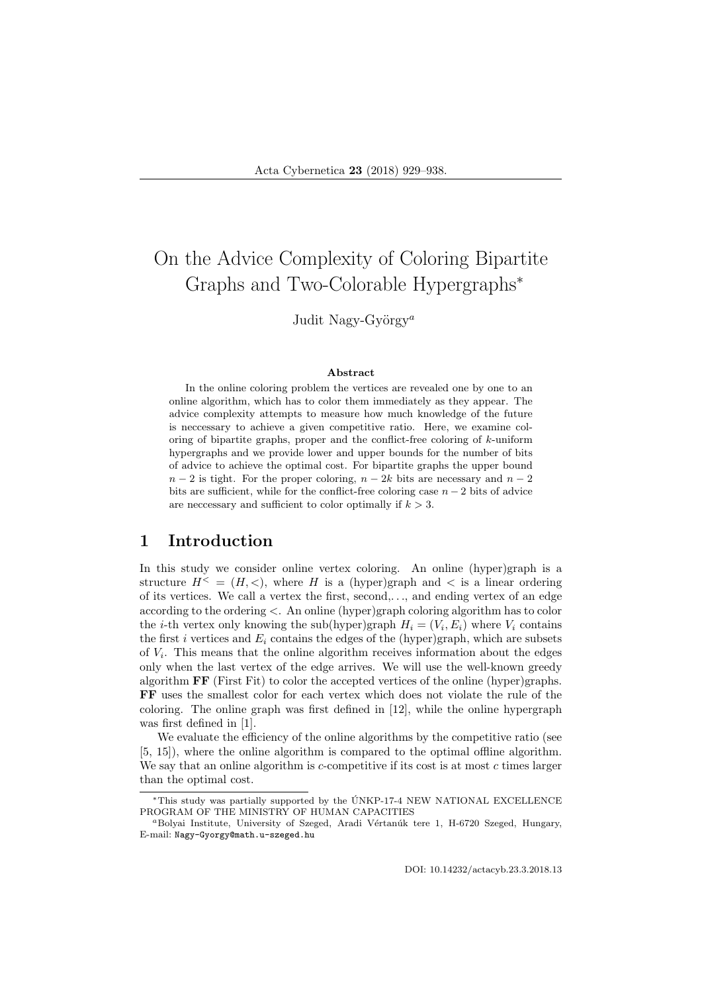# On the Advice Complexity of Coloring Bipartite Graphs and Two-Colorable Hypergraphs<sup>∗</sup>

Judit Nagy-György<sup>a</sup>

#### Abstract

In the online coloring problem the vertices are revealed one by one to an online algorithm, which has to color them immediately as they appear. The advice complexity attempts to measure how much knowledge of the future is neccessary to achieve a given competitive ratio. Here, we examine coloring of bipartite graphs, proper and the conflict-free coloring of  $k$ -uniform hypergraphs and we provide lower and upper bounds for the number of bits of advice to achieve the optimal cost. For bipartite graphs the upper bound  $n-2$  is tight. For the proper coloring,  $n-2k$  bits are necessary and  $n-2$ bits are sufficient, while for the conflict-free coloring case  $n-2$  bits of advice are neccessary and sufficient to color optimally if  $k > 3$ .

#### 1 Introduction

In this study we consider online vertex coloring. An online (hyper)graph is a structure  $H^{\leq} = (H, \leq),$  where H is a (hyper)graph and  $\leq$  is a linear ordering of its vertices. We call a vertex the first, second,. . ., and ending vertex of an edge according to the ordering <. An online (hyper)graph coloring algorithm has to color the *i*-th vertex only knowing the sub(hyper)graph  $H_i = (V_i, E_i)$  where  $V_i$  contains the first i vertices and  $E_i$  contains the edges of the (hyper)graph, which are subsets of  $V_i$ . This means that the online algorithm receives information about the edges only when the last vertex of the edge arrives. We will use the well-known greedy algorithm FF (First Fit) to color the accepted vertices of the online (hyper)graphs. FF uses the smallest color for each vertex which does not violate the rule of the coloring. The online graph was first defined in [12], while the online hypergraph was first defined in [1].

We evaluate the efficiency of the online algorithms by the competitive ratio (see [5, 15]), where the online algorithm is compared to the optimal offline algorithm. We say that an online algorithm is  $c$ -competitive if its cost is at most  $c$  times larger than the optimal cost.

DOI: 10.14232/actacyb.23.3.2018.13

<sup>∗</sup>This study was partially supported by the UNKP-17-4 NEW NATIONAL EXCELLENCE ´ PROGRAM OF THE MINISTRY OF HUMAN CAPACITIES

<sup>&</sup>lt;sup>a</sup>Bolyai Institute, University of Szeged, Aradi Vértanúk tere 1, H-6720 Szeged, Hungary, E-mail: Nagy-Gyorgy@math.u-szeged.hu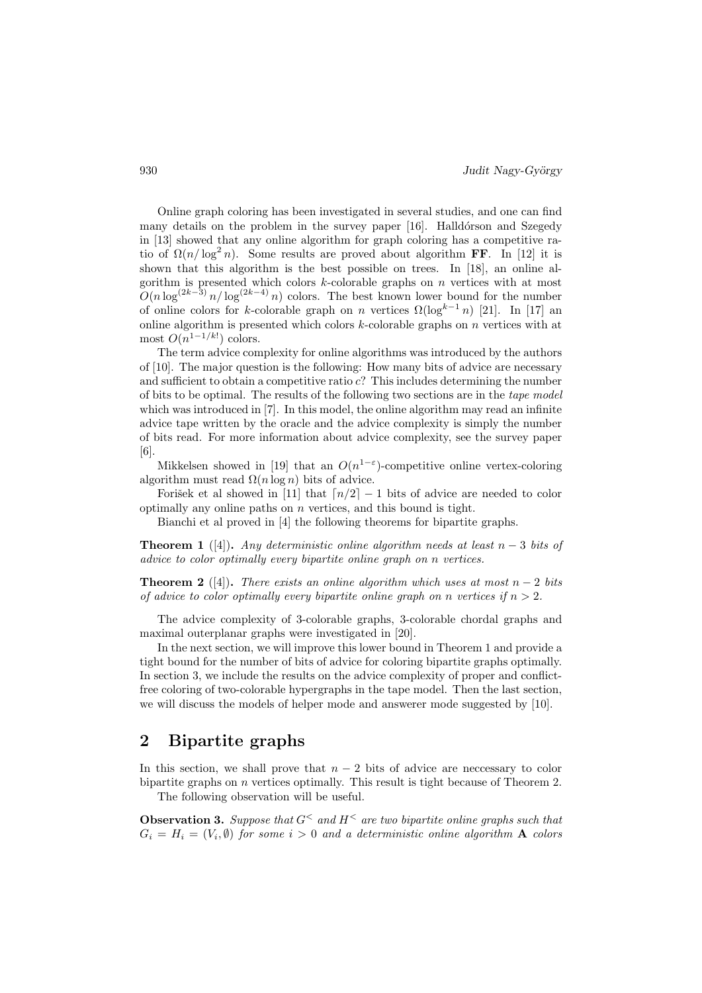Online graph coloring has been investigated in several studies, and one can find many details on the problem in the survey paper [16]. Halldórson and Szegedy in [13] showed that any online algorithm for graph coloring has a competitive ratio of  $\Omega(n/\log^2 n)$ . Some results are proved about algorithm FF. In [12] it is shown that this algorithm is the best possible on trees. In [18], an online algorithm is presented which colors  $k$ -colorable graphs on  $n$  vertices with at most  $O(n \log^{(2k-3)} n / \log^{(2k-4)} n)$  colors. The best known lower bound for the number of online colors for k-colorable graph on n vertices  $\Omega(\log^{k-1} n)$  [21]. In [17] an online algorithm is presented which colors  $k$ -colorable graphs on  $n$  vertices with at most  $O(n^{1-1/k!})$  colors.

The term advice complexity for online algorithms was introduced by the authors of [10]. The major question is the following: How many bits of advice are necessary and sufficient to obtain a competitive ratio  $c$ ? This includes determining the number of bits to be optimal. The results of the following two sections are in the tape model which was introduced in [7]. In this model, the online algorithm may read an infinite advice tape written by the oracle and the advice complexity is simply the number of bits read. For more information about advice complexity, see the survey paper [6].

Mikkelsen showed in [19] that an  $O(n^{1-\epsilon})$ -competitive online vertex-coloring algorithm must read  $\Omega(n \log n)$  bits of advice.

Forišek et al showed in [11] that  $\lceil n/2 \rceil - 1$  bits of advice are needed to color optimally any online paths on  $n$  vertices, and this bound is tight.

Bianchi et al proved in [4] the following theorems for bipartite graphs.

**Theorem 1** ([4]). Any deterministic online algorithm needs at least  $n-3$  bits of advice to color optimally every bipartite online graph on n vertices.

**Theorem 2** ([4]). There exists an online algorithm which uses at most  $n-2$  bits of advice to color optimally every bipartite online graph on n vertices if  $n > 2$ .

The advice complexity of 3-colorable graphs, 3-colorable chordal graphs and maximal outerplanar graphs were investigated in [20].

In the next section, we will improve this lower bound in Theorem 1 and provide a tight bound for the number of bits of advice for coloring bipartite graphs optimally. In section 3, we include the results on the advice complexity of proper and conflictfree coloring of two-colorable hypergraphs in the tape model. Then the last section, we will discuss the models of helper mode and answerer mode suggested by [10].

## 2 Bipartite graphs

In this section, we shall prove that  $n-2$  bits of advice are necessary to color bipartite graphs on  $n$  vertices optimally. This result is tight because of Theorem 2. The following observation will be useful.

**Observation 3.** Suppose that  $G^{\lt}$  and  $H^{\lt}$  are two bipartite online graphs such that  $G_i = H_i = (V_i, \emptyset)$  for some  $i > 0$  and a deterministic online algorithm **A** colors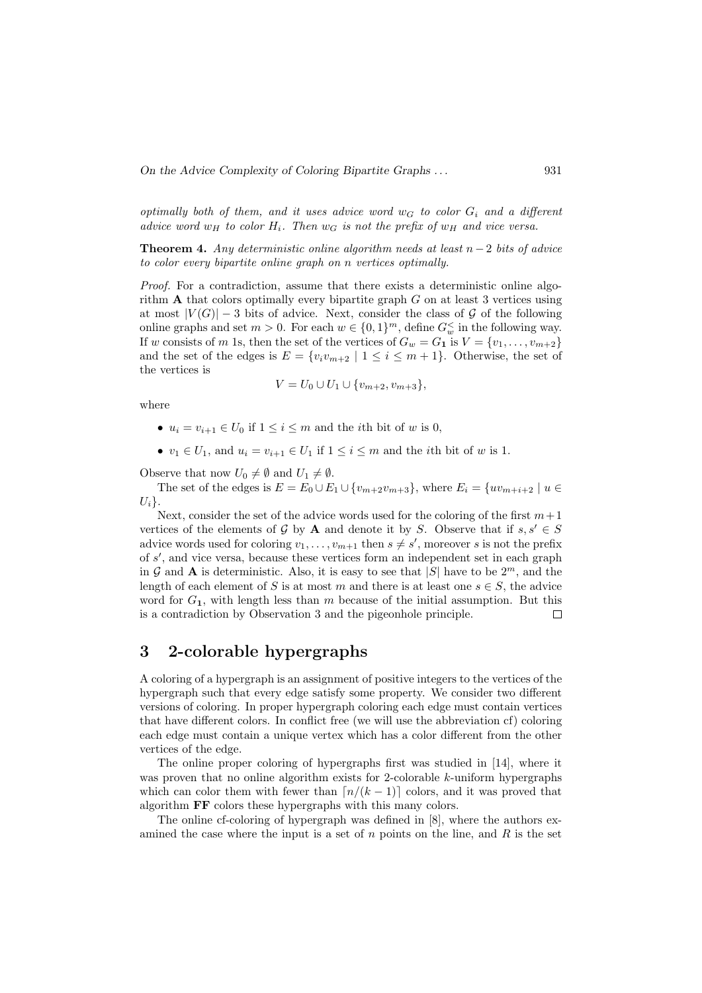optimally both of them, and it uses advice word  $w_G$  to color  $G_i$  and a different advice word  $w_H$  to color  $H_i$ . Then  $w_G$  is not the prefix of  $w_H$  and vice versa.

**Theorem 4.** Any deterministic online algorithm needs at least  $n-2$  bits of advice to color every bipartite online graph on n vertices optimally.

Proof. For a contradiction, assume that there exists a deterministic online algorithm  $\bf{A}$  that colors optimally every bipartite graph  $\bf{G}$  on at least 3 vertices using at most  $|V(G)|-3$  bits of advice. Next, consider the class of G of the following online graphs and set  $m > 0$ . For each  $w \in \{0, 1\}^m$ , define  $G_w^{\le}$  in the following way. If w consists of m 1s, then the set of the vertices of  $G_w = G_1$  is  $V = \{v_1, \ldots, v_{m+2}\}\$ and the set of the edges is  $E = \{v_i v_{m+2} \mid 1 \le i \le m+1\}$ . Otherwise, the set of the vertices is

$$
V = U_0 \cup U_1 \cup \{v_{m+2}, v_{m+3}\},\
$$

where

- $u_i = v_{i+1} \in U_0$  if  $1 \leq i \leq m$  and the *i*th bit of w is 0,
- $v_1 \in U_1$ , and  $u_i = v_{i+1} \in U_1$  if  $1 \leq i \leq m$  and the *i*th bit of w is 1.

Observe that now  $U_0 \neq \emptyset$  and  $U_1 \neq \emptyset$ .

The set of the edges is  $E = E_0 \cup E_1 \cup \{v_{m+2}v_{m+3}\}\)$ , where  $E_i = \{uv_{m+i+2} \mid u \in E_i\}$  $U_i$ .

Next, consider the set of the advice words used for the coloring of the first  $m+1$ vertices of the elements of G by A and denote it by S. Observe that if  $s, s' \in S$ advice words used for coloring  $v_1, \ldots, v_{m+1}$  then  $s \neq s'$ , moreover s is not the prefix of s', and vice versa, because these vertices form an independent set in each graph in G and A is deterministic. Also, it is easy to see that |S| have to be  $2^m$ , and the length of each element of S is at most m and there is at least one  $s \in S$ , the advice word for  $G_1$ , with length less than m because of the initial assumption. But this is a contradiction by Observation 3 and the pigeonhole principle.  $\Box$ 

### 3 2-colorable hypergraphs

A coloring of a hypergraph is an assignment of positive integers to the vertices of the hypergraph such that every edge satisfy some property. We consider two different versions of coloring. In proper hypergraph coloring each edge must contain vertices that have different colors. In conflict free (we will use the abbreviation cf) coloring each edge must contain a unique vertex which has a color different from the other vertices of the edge.

The online proper coloring of hypergraphs first was studied in [14], where it was proven that no online algorithm exists for 2-colorable k-uniform hypergraphs which can color them with fewer than  $\lceil n/(k-1) \rceil$  colors, and it was proved that algorithm FF colors these hypergraphs with this many colors.

The online cf-coloring of hypergraph was defined in [8], where the authors examined the case where the input is a set of n points on the line, and R is the set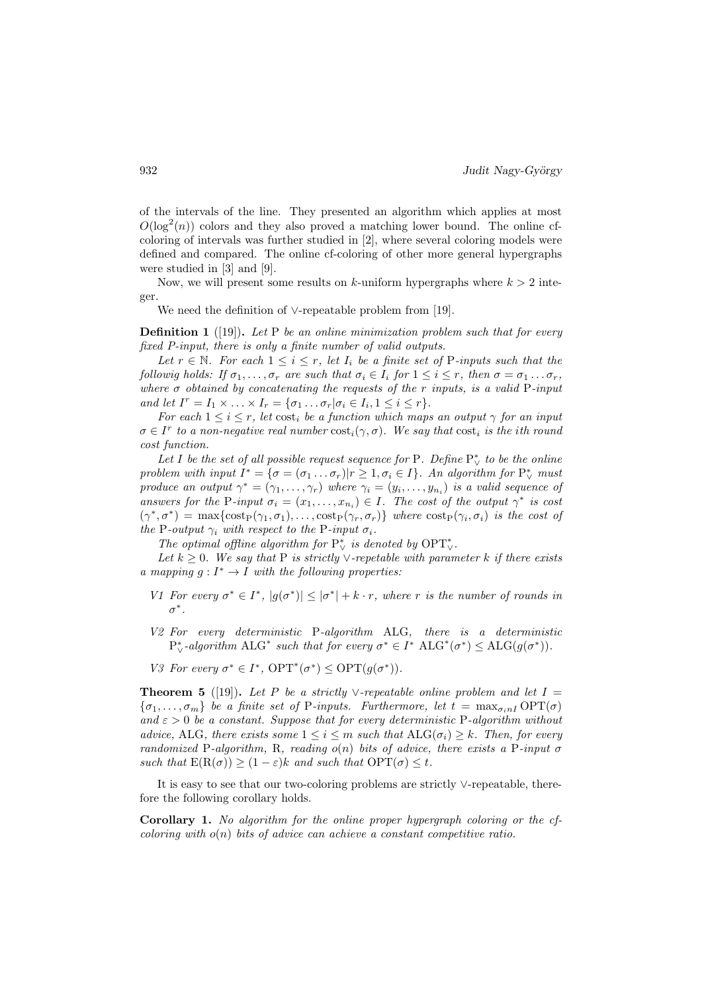of the intervals of the line. They presented an algorithm which applies at most  $O(\log^2(n))$  colors and they also proved a matching lower bound. The online cfcoloring of intervals was further studied in [2], where several coloring models were defined and compared. The online cf-coloring of other more general hypergraphs were studied in [3] and [9].

Now, we will present some results on k-uniform hypergraphs where  $k > 2$  integer.

We need the definition of ∨-repeatable problem from [19].

**Definition 1** ([19]). Let P be an online minimization problem such that for every fixed P-input, there is only a finite number of valid outputs.

Let  $r \in \mathbb{N}$ . For each  $1 \leq i \leq r$ , let  $I_i$  be a finite set of P-inputs such that the followig holds: If  $\sigma_1, \ldots, \sigma_r$  are such that  $\sigma_i \in I_i$  for  $1 \leq i \leq r$ , then  $\sigma = \sigma_1 \ldots \sigma_r$ , where  $\sigma$  obtained by concatenating the requests of the r inputs, is a valid P-input and let  $I^r = I_1 \times \ldots \times I_r = \{\sigma_1 \ldots \sigma_r | \sigma_i \in I_i, 1 \leq i \leq r\}.$ 

For each  $1 \leq i \leq r$ , let cost<sub>i</sub> be a function which maps an output  $\gamma$  for an input  $\sigma \in I^r$  to a non-negative real number  $\text{cost}_i(\gamma, \sigma)$ . We say that  $\text{cost}_i$  is the ith round cost function.

Let I be the set of all possible request sequence for P. Define  $P^*_{\vee}$  to be the online problem with input  $I^* = \{\sigma = (\sigma_1 \dots \sigma_r)|r \geq 1, \sigma_i \in I\}$ . An algorithm for  $P_V^*$  must produce an output  $\gamma^* = (\gamma_1, \ldots, \gamma_r)$  where  $\gamma_i = (y_i, \ldots, y_{n_i})$  is a valid sequence of answers for the P-input  $\sigma_i = (x_1, \ldots, x_{n_i}) \in I$ . The cost of the output  $\gamma^*$  is cost  $(\gamma^*, \sigma^*) = \max\{\cosh(\gamma_1, \sigma_1), \ldots, \cosh(\gamma_r, \sigma_r)\}\$  where  $\cosh(\gamma_i, \sigma_i)$  is the cost of the P-output  $\gamma_i$  with respect to the P-input  $\sigma_i$ .

The optimal offline algorithm for  $P^*_{\vee}$  is denoted by  $\text{OPT}^*_{\vee}$ .

Let  $k \geq 0$ . We say that P is strictly  $\vee$ -repetable with parameter k if there exists a mapping  $g: I^* \to I$  with the following properties:

- V1 For every  $\sigma^* \in I^*$ ,  $|g(\sigma^*)| \leq |\sigma^*| + k \cdot r$ , where r is the number of rounds in  $\sigma^*$  .
- V2 For every deterministic P-algorithm ALG, there is a deterministic  $P_{\vee}^*$ -algorithm  $ALG^*$  such that for every  $\sigma^* \in I^*$   $ALG^*(\sigma^*) \leq ALG(g(\sigma^*)).$
- V3 For every  $\sigma^* \in I^*$ ,  $\text{OPT}^*(\sigma^*) \leq \text{OPT}(g(\sigma^*))$ .

**Theorem 5** ([19]). Let P be a strictly ∨-repeatable online problem and let  $I =$  $\{\sigma_1, \ldots, \sigma_m\}$  be a finite set of P-inputs. Furthermore, let  $t = \max_{\sigma_i n I} \text{OPT}(\sigma)$ and  $\varepsilon > 0$  be a constant. Suppose that for every deterministic P-algorithm without advice, ALG, there exists some  $1 \leq i \leq m$  such that  $\text{ALG}(\sigma_i) \geq k$ . Then, for every randomized P-algorithm, R, reading  $o(n)$  bits of advice, there exists a P-input  $\sigma$ such that  $E(R(\sigma)) \geq (1-\varepsilon)k$  and such that  $\text{OPT}(\sigma) \leq t$ .

It is easy to see that our two-coloring problems are strictly ∨-repeatable, therefore the following corollary holds.

Corollary 1. No algorithm for the online proper hypergraph coloring or the cfcoloring with  $o(n)$  bits of advice can achieve a constant competitive ratio.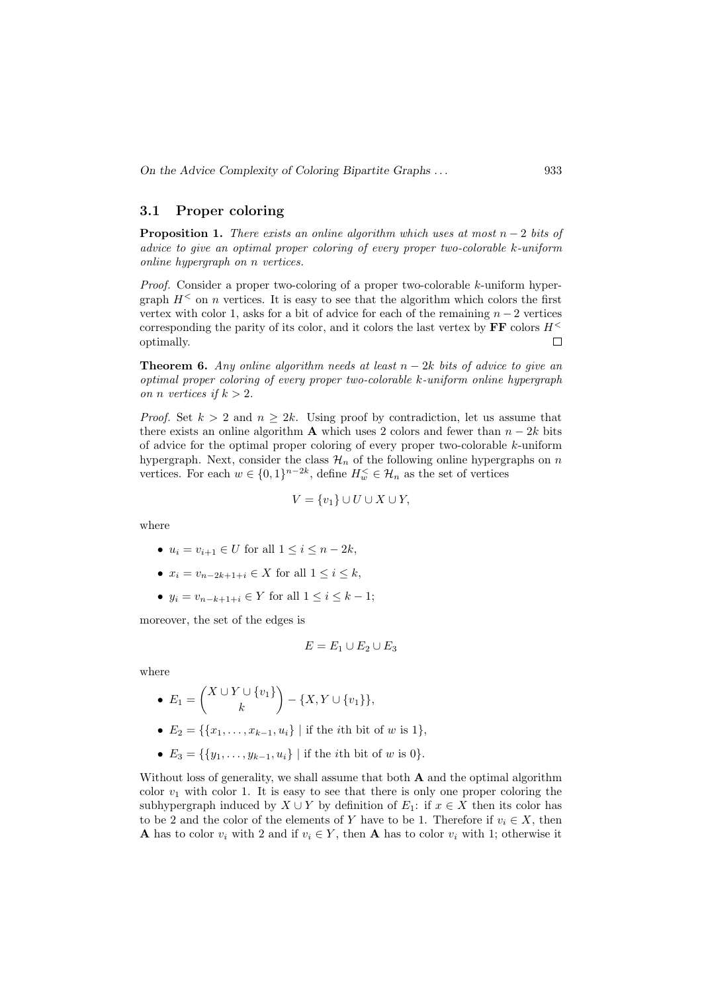#### 3.1 Proper coloring

**Proposition 1.** There exists an online algorithm which uses at most  $n-2$  bits of advice to give an optimal proper coloring of every proper two-colorable k-uniform online hypergraph on n vertices.

Proof. Consider a proper two-coloring of a proper two-colorable k-uniform hypergraph  $H^<$  on n vertices. It is easy to see that the algorithm which colors the first vertex with color 1, asks for a bit of advice for each of the remaining  $n-2$  vertices corresponding the parity of its color, and it colors the last vertex by  $\mathbf{FF}$  colors  $H^{\leq}$ optimally.  $\Box$ 

**Theorem 6.** Any online algorithm needs at least  $n - 2k$  bits of advice to give an optimal proper coloring of every proper two-colorable k-uniform online hypergraph on *n* vertices if  $k > 2$ .

*Proof.* Set  $k > 2$  and  $n \geq 2k$ . Using proof by contradiction, let us assume that there exists an online algorithm **A** which uses 2 colors and fewer than  $n - 2k$  bits of advice for the optimal proper coloring of every proper two-colorable k-uniform hypergraph. Next, consider the class  $\mathcal{H}_n$  of the following online hypergraphs on n vertices. For each  $w \in \{0,1\}^{n-2k}$ , define  $H_w \in \mathcal{H}_n$  as the set of vertices

$$
V = \{v_1\} \cup U \cup X \cup Y,
$$

where

- $u_i = v_{i+1} \in U$  for all  $1 \le i \le n-2k$ ,
- $x_i = v_{n-2k+1+i} \in X$  for all  $1 \leq i \leq k$ ,
- $y_i = v_{n-k+1+i} \in Y$  for all  $1 \le i \le k-1$ ;

moreover, the set of the edges is

$$
E = E_1 \cup E_2 \cup E_3
$$

where

• 
$$
E_1 = {X \cup Y \cup \{v_1\} \choose k} - \{X, Y \cup \{v_1\}\},
$$

- $E_2 = \{ \{x_1, \ldots, x_{k-1}, u_i\} \mid \text{if the } i\text{th bit of } w \text{ is } 1 \},\$
- $E_3 = \{\{y_1, \ldots, y_{k-1}, u_i\} \mid \text{if the } i\text{th bit of } w \text{ is } 0\}.$

Without loss of generality, we shall assume that both  $A$  and the optimal algorithm color  $v_1$  with color 1. It is easy to see that there is only one proper coloring the subhypergraph induced by  $X \cup Y$  by definition of  $E_1$ : if  $x \in X$  then its color has to be 2 and the color of the elements of Y have to be 1. Therefore if  $v_i \in X$ , then **A** has to color  $v_i$  with 2 and if  $v_i \in Y$ , then **A** has to color  $v_i$  with 1; otherwise it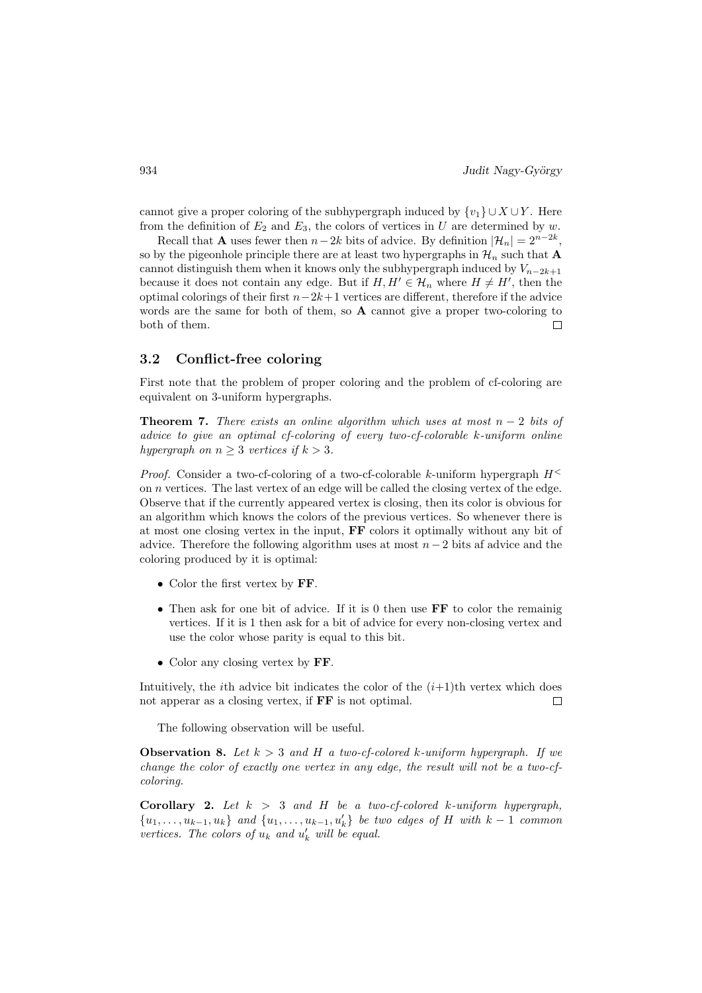cannot give a proper coloring of the subhypergraph induced by  $\{v_1\} \cup X \cup Y$ . Here from the definition of  $E_2$  and  $E_3$ , the colors of vertices in U are determined by w.

Recall that **A** uses fewer then  $n-2k$  bits of advice. By definition  $|\mathcal{H}_n| = 2^{n-2k}$ , so by the pigeonhole principle there are at least two hypergraphs in  $\mathcal{H}_n$  such that **A** cannot distinguish them when it knows only the subhypergraph induced by  $V_{n-2k+1}$ because it does not contain any edge. But if  $H, H' \in \mathcal{H}_n$  where  $H \neq H'$ , then the optimal colorings of their first  $n-2k+1$  vertices are different, therefore if the advice words are the same for both of them, so  $\bf{A}$  cannot give a proper two-coloring to both of them.  $\Box$ 

#### 3.2 Conflict-free coloring

First note that the problem of proper coloring and the problem of cf-coloring are equivalent on 3-uniform hypergraphs.

**Theorem 7.** There exists an online algorithm which uses at most  $n-2$  bits of advice to give an optimal cf-coloring of every two-cf-colorable k-uniform online hypergraph on  $n \geq 3$  vertices if  $k > 3$ .

*Proof.* Consider a two-cf-coloring of a two-cf-colorable k-uniform hypergraph  $H^<$ on n vertices. The last vertex of an edge will be called the closing vertex of the edge. Observe that if the currently appeared vertex is closing, then its color is obvious for an algorithm which knows the colors of the previous vertices. So whenever there is at most one closing vertex in the input, FF colors it optimally without any bit of advice. Therefore the following algorithm uses at most  $n-2$  bits af advice and the coloring produced by it is optimal:

- Color the first vertex by FF.
- Then ask for one bit of advice. If it is 0 then use FF to color the remainig vertices. If it is 1 then ask for a bit of advice for every non-closing vertex and use the color whose parity is equal to this bit.
- Color any closing vertex by FF.

Intuitively, the *i*th advice bit indicates the color of the  $(i+1)$ <sup>th</sup> vertex which does not apperar as a closing vertex, if FF is not optimal.  $\Box$ 

The following observation will be useful.

**Observation 8.** Let  $k > 3$  and H a two-cf-colored k-uniform hypergraph. If we change the color of exactly one vertex in any edge, the result will not be a two-cfcoloring.

**Corollary 2.** Let  $k > 3$  and H be a two-cf-colored k-uniform hypergraph,  ${u_1, \ldots, u_{k-1}, u_k}$  and  ${u_1, \ldots, u_{k-1}, u'_k}$  be two edges of H with  $k-1$  common vertices. The colors of  $u_k$  and  $u'_k$  will be equal.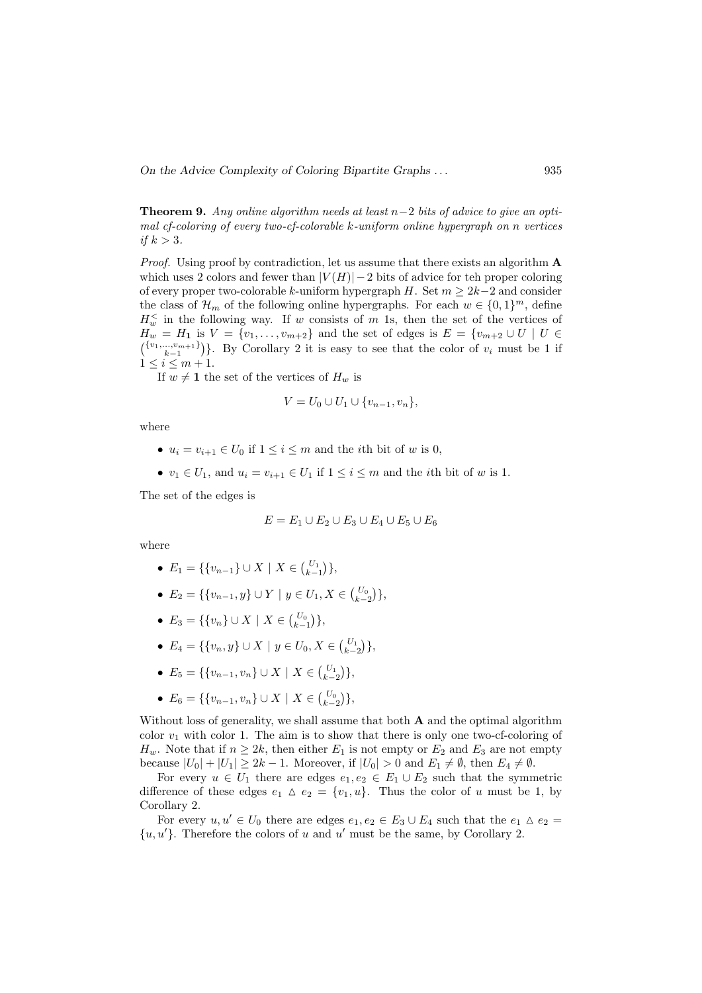On the Advice Complexity of Coloring Bipartite Graphs . . . 935

**Theorem 9.** Any online algorithm needs at least  $n-2$  bits of advice to give an optimal cf-coloring of every two-cf-colorable k-uniform online hypergraph on n vertices if  $k > 3$ .

Proof. Using proof by contradiction, let us assume that there exists an algorithm A which uses 2 colors and fewer than  $|V(H)| - 2$  bits of advice for teh proper coloring of every proper two-colorable k-uniform hypergraph H. Set  $m \geq 2k-2$  and consider the class of  $\mathcal{H}_m$  of the following online hypergraphs. For each  $w \in \{0,1\}^m$ , define  $H_w^{\le}$  in the following way. If w consists of m 1s, then the set of the vertices of  $H_w = H_1$  is  $V = \{v_1, \ldots, v_{m+2}\}\$ and the set of edges is  $E = \{v_{m+2} \cup U \mid U \in$  $\binom{\{v_1,\ldots,v_{m+1}\}}{k-1}$ . By Corollary 2 it is easy to see that the color of  $v_i$  must be 1 if  $1 \leq i \leq m+1$ .

If  $w \neq 1$  the set of the vertices of  $H_w$  is

$$
V = U_0 \cup U_1 \cup \{v_{n-1}, v_n\},\
$$

where

- $u_i = v_{i+1} \in U_0$  if  $1 \leq i \leq m$  and the *i*th bit of w is 0,
- $v_1 \in U_1$ , and  $u_i = v_{i+1} \in U_1$  if  $1 \leq i \leq m$  and the *i*th bit of w is 1.

The set of the edges is

$$
E = E_1 \cup E_2 \cup E_3 \cup E_4 \cup E_5 \cup E_6
$$

where

- $E_1 = \{ \{v_{n-1}\} \cup X \mid X \in {U_1 \choose k-1} \},\$
- $E_2 = \{ \{v_{n-1}, y\} \cup Y \mid y \in U_1, X \in {U_0 \choose k-2} \},\$
- $E_3 = \{ \{v_n\} \cup X \mid X \in {U_0 \choose k-1} \},\$
- $E_4 = \{ \{v_n, y\} \cup X \mid y \in U_0, X \in {U_1 \choose k-2} \},\$
- $E_5 = \{ \{v_{n-1}, v_n\} \cup X \mid X \in {U_1 \choose k-2} \},\$
- $E_6 = \{ \{v_{n-1}, v_n\} \cup X \mid X \in {U_0 \choose k-2} \},\$

Without loss of generality, we shall assume that both  $A$  and the optimal algorithm color  $v_1$  with color 1. The aim is to show that there is only one two-cf-coloring of  $H_w$ . Note that if  $n \geq 2k$ , then either  $E_1$  is not empty or  $E_2$  and  $E_3$  are not empty because  $|U_0| + |U_1| \geq 2k - 1$ . Moreover, if  $|U_0| > 0$  and  $E_1 \neq \emptyset$ , then  $E_4 \neq \emptyset$ .

For every  $u \in U_1$  there are edges  $e_1, e_2 \in E_1 \cup E_2$  such that the symmetric difference of these edges  $e_1 \Delta e_2 = \{v_1, u\}$ . Thus the color of u must be 1, by Corollary 2.

For every  $u, u' \in U_0$  there are edges  $e_1, e_2 \in E_3 \cup E_4$  such that the  $e_1 \Delta e_2 =$  $\{u, u'\}.$  Therefore the colors of u and u' must be the same, by Corollary 2.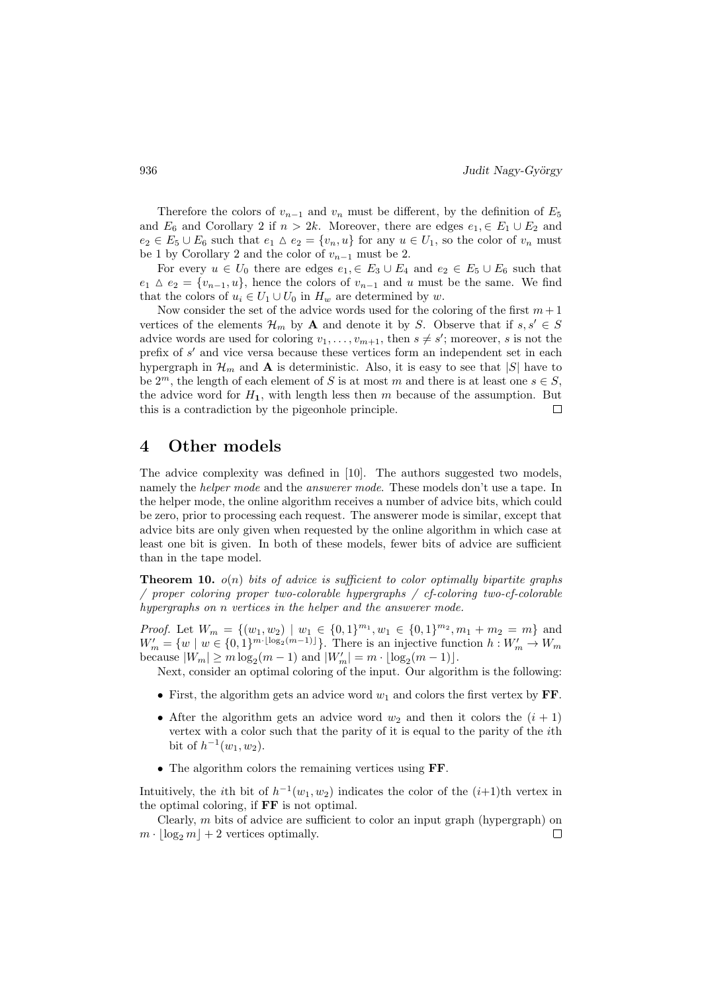Therefore the colors of  $v_{n-1}$  and  $v_n$  must be different, by the definition of  $E_5$ and  $E_6$  and Corollary 2 if  $n > 2k$ . Moreover, there are edges  $e_1 \in E_1 \cup E_2$  and  $e_2 \in E_5 \cup E_6$  such that  $e_1 \wedge e_2 = \{v_n, u\}$  for any  $u \in U_1$ , so the color of  $v_n$  must be 1 by Corollary 2 and the color of  $v_{n-1}$  must be 2.

For every  $u \in U_0$  there are edges  $e_1 \in E_3 \cup E_4$  and  $e_2 \in E_5 \cup E_6$  such that  $e_1 \Delta e_2 = \{v_{n-1}, u\}$ , hence the colors of  $v_{n-1}$  and u must be the same. We find that the colors of  $u_i \in U_1 \cup U_0$  in  $H_w$  are determined by w.

Now consider the set of the advice words used for the coloring of the first  $m+1$ vertices of the elements  $\mathcal{H}_m$  by **A** and denote it by S. Observe that if  $s, s' \in S$ advice words are used for coloring  $v_1, \ldots, v_{m+1}$ , then  $s \neq s'$ ; moreover, s is not the prefix of  $s'$  and vice versa because these vertices form an independent set in each hypergraph in  $\mathcal{H}_m$  and **A** is deterministic. Also, it is easy to see that |S| have to be  $2^m$ , the length of each element of S is at most m and there is at least one  $s \in S$ . the advice word for  $H_1$ , with length less then m because of the assumption. But this is a contradiction by the pigeonhole principle. П

# 4 Other models

The advice complexity was defined in [10]. The authors suggested two models, namely the *helper mode* and the *answerer mode*. These models don't use a tape. In the helper mode, the online algorithm receives a number of advice bits, which could be zero, prior to processing each request. The answerer mode is similar, except that advice bits are only given when requested by the online algorithm in which case at least one bit is given. In both of these models, fewer bits of advice are sufficient than in the tape model.

**Theorem 10.**  $o(n)$  bits of advice is sufficient to color optimally bipartite graphs / proper coloring proper two-colorable hypergraphs / cf-coloring two-cf-colorable hypergraphs on n vertices in the helper and the answerer mode.

*Proof.* Let  $W_m = \{(w_1, w_2) \mid w_1 \in \{0, 1\}^{m_1}, w_1 \in \{0, 1\}^{m_2}, m_1 + m_2 = m\}$  and  $W'_m = \{w \mid w \in \{0,1\}^{m \cdot \lfloor \log_2(m-1) \rfloor} \}.$  There is an injective function  $h: W'_m \to W_m$ because  $|W_m| \ge m \log_2(m-1)$  and  $|W'_m| = m \cdot \lfloor \log_2(m-1) \rfloor$ .

Next, consider an optimal coloring of the input. Our algorithm is the following:

- First, the algorithm gets an advice word  $w_1$  and colors the first vertex by FF.
- After the algorithm gets an advice word  $w_2$  and then it colors the  $(i + 1)$ vertex with a color such that the parity of it is equal to the parity of the ith bit of  $h^{-1}(w_1, w_2)$ .
- The algorithm colors the remaining vertices using FF.

Intuitively, the *i*th bit of  $h^{-1}(w_1, w_2)$  indicates the color of the  $(i+1)$ <sup>th</sup> vertex in the optimal coloring, if FF is not optimal.

Clearly, m bits of advice are sufficient to color an input graph (hypergraph) on  $m \cdot |\log_2 m| + 2$  vertices optimally.  $\Box$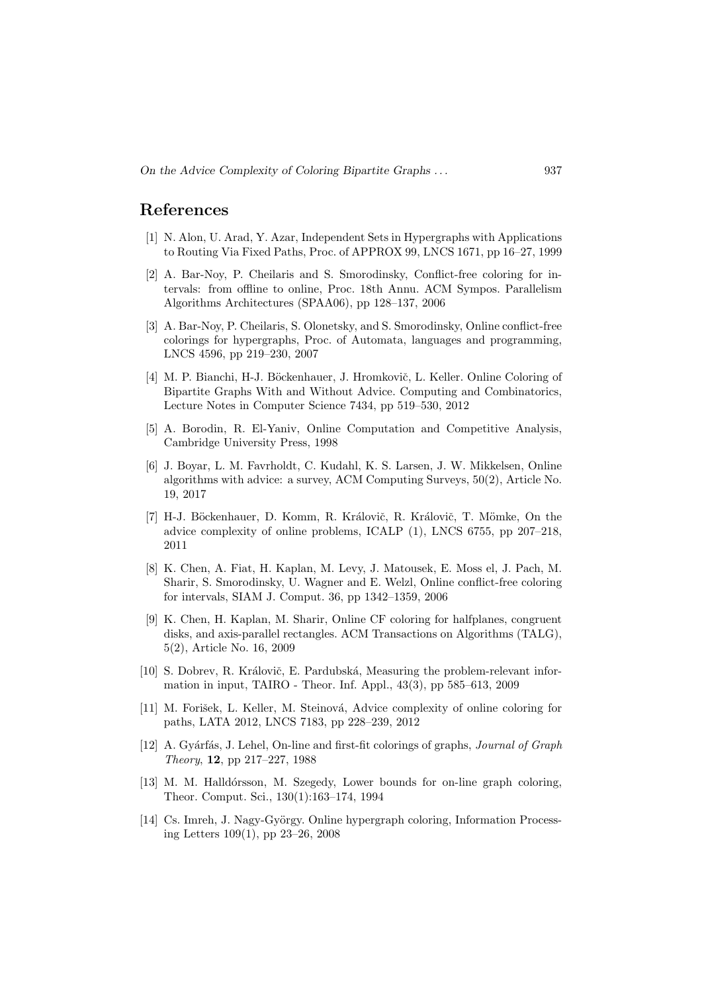### References

- [1] N. Alon, U. Arad, Y. Azar, Independent Sets in Hypergraphs with Applications to Routing Via Fixed Paths, Proc. of APPROX 99, LNCS 1671, pp 16–27, 1999
- [2] A. Bar-Noy, P. Cheilaris and S. Smorodinsky, Conflict-free coloring for intervals: from offline to online, Proc. 18th Annu. ACM Sympos. Parallelism Algorithms Architectures (SPAA06), pp 128–137, 2006
- [3] A. Bar-Noy, P. Cheilaris, S. Olonetsky, and S. Smorodinsky, Online conflict-free colorings for hypergraphs, Proc. of Automata, languages and programming, LNCS 4596, pp 219–230, 2007
- [4] M. P. Bianchi, H-J. Böckenhauer, J. Hromkovič, L. Keller. Online Coloring of Bipartite Graphs With and Without Advice. Computing and Combinatorics, Lecture Notes in Computer Science 7434, pp 519–530, 2012
- [5] A. Borodin, R. El-Yaniv, Online Computation and Competitive Analysis, Cambridge University Press, 1998
- [6] J. Boyar, L. M. Favrholdt, C. Kudahl, K. S. Larsen, J. W. Mikkelsen, Online algorithms with advice: a survey, ACM Computing Surveys, 50(2), Article No. 19, 2017
- [7] H-J. Böckenhauer, D. Komm, R. Královič, R. Královič, T. Mömke, On the advice complexity of online problems, ICALP (1), LNCS 6755, pp 207–218, 2011
- [8] K. Chen, A. Fiat, H. Kaplan, M. Levy, J. Matousek, E. Moss el, J. Pach, M. Sharir, S. Smorodinsky, U. Wagner and E. Welzl, Online conflict-free coloring for intervals, SIAM J. Comput. 36, pp 1342–1359, 2006
- [9] K. Chen, H. Kaplan, M. Sharir, Online CF coloring for halfplanes, congruent disks, and axis-parallel rectangles. ACM Transactions on Algorithms (TALG), 5(2), Article No. 16, 2009
- [10] S. Dobrev, R. Královič, E. Pardubská, Measuring the problem-relevant information in input, TAIRO - Theor. Inf. Appl., 43(3), pp 585–613, 2009
- [11] M. Forišek, L. Keller, M. Steinová, Advice complexity of online coloring for paths, LATA 2012, LNCS 7183, pp 228–239, 2012
- [12] A. Gyárfás, J. Lehel, On-line and first-fit colorings of graphs, *Journal of Graph* Theory, 12, pp 217–227, 1988
- [13] M. M. Halldórsson, M. Szegedy, Lower bounds for on-line graph coloring, Theor. Comput. Sci., 130(1):163–174, 1994
- [14] Cs. Imreh, J. Nagy-György. Online hypergraph coloring, Information Processing Letters 109(1), pp 23–26, 2008